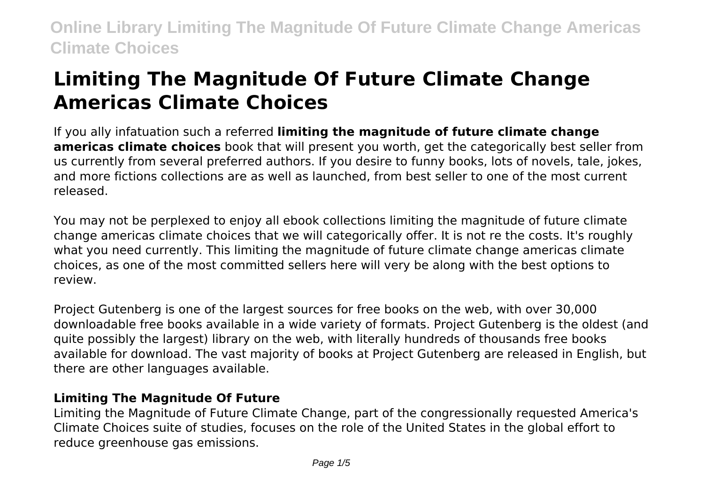# **Limiting The Magnitude Of Future Climate Change Americas Climate Choices**

If you ally infatuation such a referred **limiting the magnitude of future climate change americas climate choices** book that will present you worth, get the categorically best seller from us currently from several preferred authors. If you desire to funny books, lots of novels, tale, jokes, and more fictions collections are as well as launched, from best seller to one of the most current released.

You may not be perplexed to enjoy all ebook collections limiting the magnitude of future climate change americas climate choices that we will categorically offer. It is not re the costs. It's roughly what you need currently. This limiting the magnitude of future climate change americas climate choices, as one of the most committed sellers here will very be along with the best options to review.

Project Gutenberg is one of the largest sources for free books on the web, with over 30,000 downloadable free books available in a wide variety of formats. Project Gutenberg is the oldest (and quite possibly the largest) library on the web, with literally hundreds of thousands free books available for download. The vast majority of books at Project Gutenberg are released in English, but there are other languages available.

#### **Limiting The Magnitude Of Future**

Limiting the Magnitude of Future Climate Change, part of the congressionally requested America's Climate Choices suite of studies, focuses on the role of the United States in the global effort to reduce greenhouse gas emissions.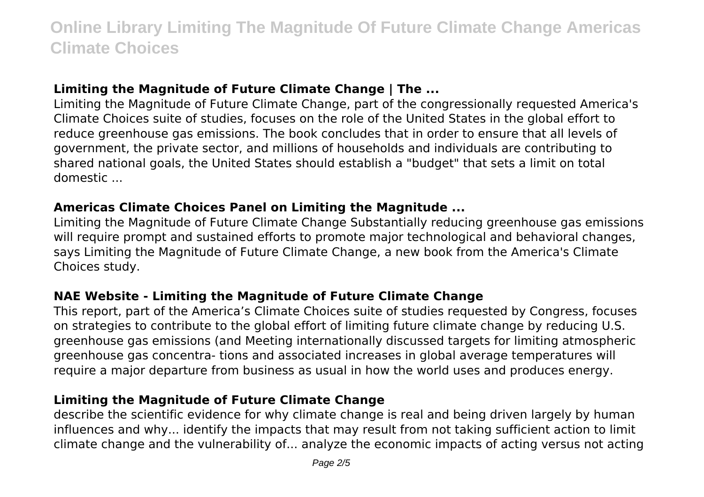### **Limiting the Magnitude of Future Climate Change | The ...**

Limiting the Magnitude of Future Climate Change, part of the congressionally requested America's Climate Choices suite of studies, focuses on the role of the United States in the global effort to reduce greenhouse gas emissions. The book concludes that in order to ensure that all levels of government, the private sector, and millions of households and individuals are contributing to shared national goals, the United States should establish a "budget" that sets a limit on total domestic ...

#### **Americas Climate Choices Panel on Limiting the Magnitude ...**

Limiting the Magnitude of Future Climate Change Substantially reducing greenhouse gas emissions will require prompt and sustained efforts to promote major technological and behavioral changes, says Limiting the Magnitude of Future Climate Change, a new book from the America's Climate Choices study.

### **NAE Website - Limiting the Magnitude of Future Climate Change**

This report, part of the America's Climate Choices suite of studies requested by Congress, focuses on strategies to contribute to the global effort of limiting future climate change by reducing U.S. greenhouse gas emissions (and Meeting internationally discussed targets for limiting atmospheric greenhouse gas concentra‑ tions and associated increases in global average temperatures will require a major departure from business as usual in how the world uses and produces energy.

### **Limiting the Magnitude of Future Climate Change**

describe the scientific evidence for why climate change is real and being driven largely by human influences and why... identify the impacts that may result from not taking sufficient action to limit climate change and the vulnerability of... analyze the economic impacts of acting versus not acting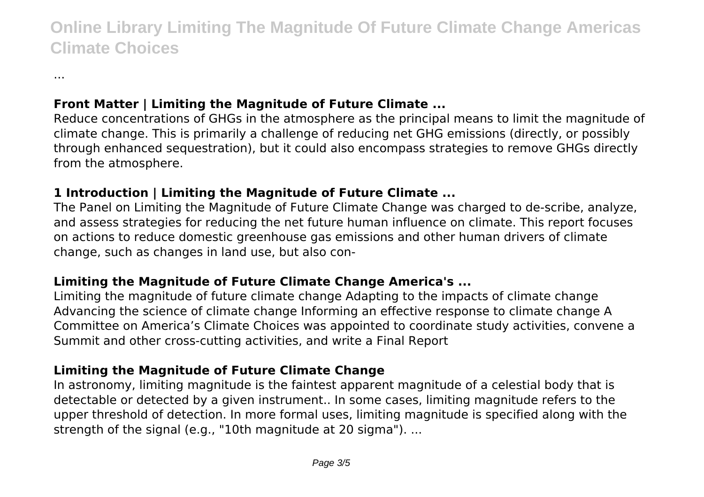### **Front Matter | Limiting the Magnitude of Future Climate ...**

...

Reduce concentrations of GHGs in the atmosphere as the principal means to limit the magnitude of climate change. This is primarily a challenge of reducing net GHG emissions (directly, or possibly through enhanced sequestration), but it could also encompass strategies to remove GHGs directly from the atmosphere.

#### **1 Introduction | Limiting the Magnitude of Future Climate ...**

The Panel on Limiting the Magnitude of Future Climate Change was charged to de-scribe, analyze, and assess strategies for reducing the net future human influence on climate. This report focuses on actions to reduce domestic greenhouse gas emissions and other human drivers of climate change, such as changes in land use, but also con-

### **Limiting the Magnitude of Future Climate Change America's ...**

Limiting the magnitude of future climate change Adapting to the impacts of climate change Advancing the science of climate change Informing an effective response to climate change A Committee on America's Climate Choices was appointed to coordinate study activities, convene a Summit and other cross-cutting activities, and write a Final Report

### **Limiting the Magnitude of Future Climate Change**

In astronomy, limiting magnitude is the faintest apparent magnitude of a celestial body that is detectable or detected by a given instrument.. In some cases, limiting magnitude refers to the upper threshold of detection. In more formal uses, limiting magnitude is specified along with the strength of the signal (e.g., "10th magnitude at 20 sigma"). ...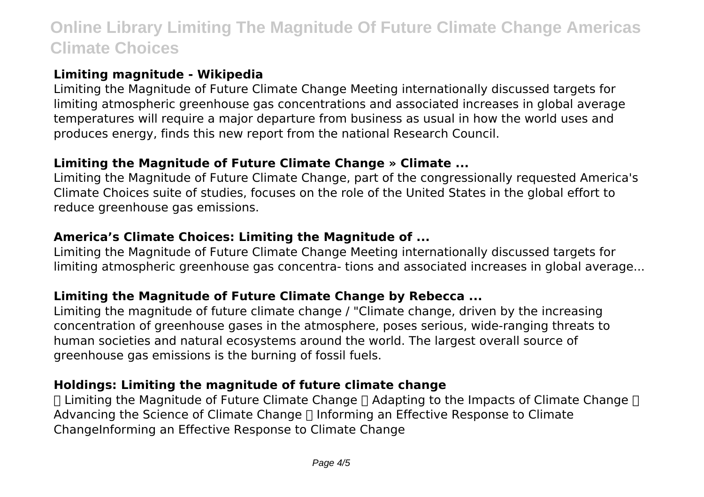### **Limiting magnitude - Wikipedia**

Limiting the Magnitude of Future Climate Change Meeting internationally discussed targets for limiting atmospheric greenhouse gas concentrations and associated increases in global average temperatures will require a major departure from business as usual in how the world uses and produces energy, finds this new report from the national Research Council.

### **Limiting the Magnitude of Future Climate Change » Climate ...**

Limiting the Magnitude of Future Climate Change, part of the congressionally requested America's Climate Choices suite of studies, focuses on the role of the United States in the global effort to reduce greenhouse gas emissions.

### **America's Climate Choices: Limiting the Magnitude of ...**

Limiting the Magnitude of Future Climate Change Meeting internationally discussed targets for limiting atmospheric greenhouse gas concentra- tions and associated increases in global average...

# **Limiting the Magnitude of Future Climate Change by Rebecca ...**

Limiting the magnitude of future climate change / "Climate change, driven by the increasing concentration of greenhouse gases in the atmosphere, poses serious, wide-ranging threats to human societies and natural ecosystems around the world. The largest overall source of greenhouse gas emissions is the burning of fossil fuels.

# **Holdings: Limiting the magnitude of future climate change**

 $\Box$  Limiting the Magnitude of Future Climate Change  $\Box$  Adapting to the Impacts of Climate Change  $\Box$ Advancing the Science of Climate Change  $\Box$  Informing an Effective Response to Climate ChangeInforming an Effective Response to Climate Change